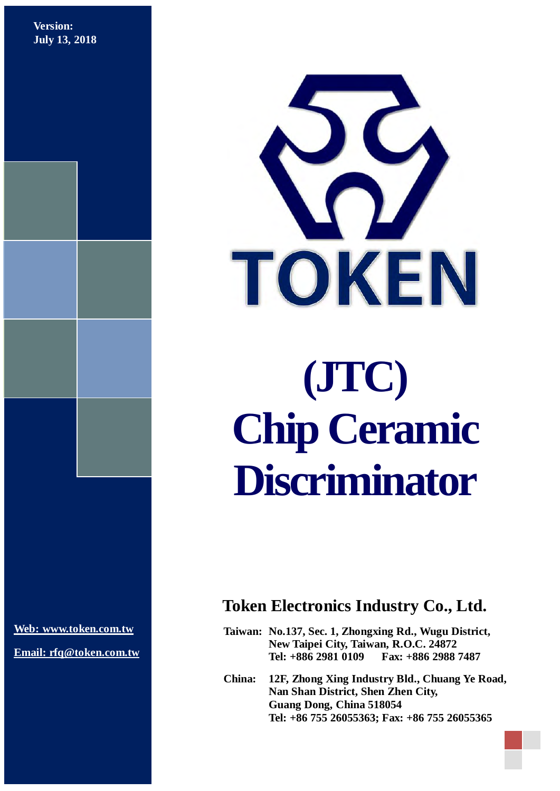**Version: July 13, 2018**



**[Web: www.token.com.tw](http://www.token.com.tw/)**

**Email: rfq@token.com.tw**

## **Token Electronics Industry Co., Ltd.**

**Taiwan: No.137, Sec. 1, Zhongxing Rd., Wugu District, New Taipei City, Taiwan, R.O.C. 24872 Tel: +886 2981 0109 Fax: +886 2988 7487**

**China: 12F, Zhong Xing Industry Bld., Chuang Ye Road, Nan Shan District, Shen Zhen City, Guang Dong, China 518054 Tel: +86 755 26055363; Fax: +86 755 26055365**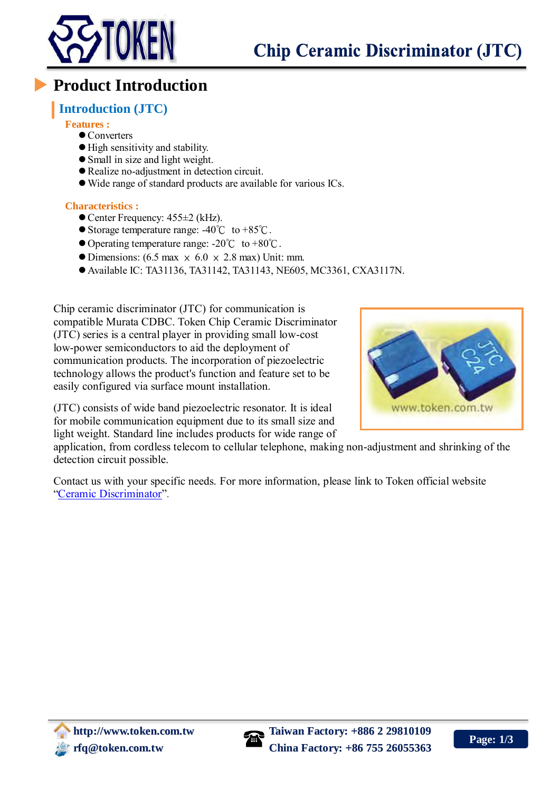

## **Product Introduction**

#### **Introduction (JTC)**

**Features :**

- Converters
- High sensitivity and stability.
- Small in size and light weight.
- Realize no-adjustment in detection circuit.
- Wide range of standard products are available for various ICs.

#### **Characteristics :**

- Center Frequency: 455±2 (kHz).
- $\bullet$  Storage temperature range: -40°C to +85°C.
- Operating temperature range: -20℃ to +80℃.
- $\bullet$  Dimensions: (6.5 max  $\times$  6.0  $\times$  2.8 max) Unit: mm.
- Available IC: TA31136, TA31142, TA31143, NE605, MC3361, CXA3117N.

Chip ceramic discriminator (JTC) for communication is compatible Murata CDBC. Token Chip Ceramic Discriminator (JTC) series is a central player in providing small low-cost low-power semiconductors to aid the deployment of communication products. The incorporation of piezoelectric technology allows the product's function and feature set to be easily configured via surface mount installation.



(JTC) consists of wide band piezoelectric resonator. It is ideal for mobile communication equipment due to its small size and light weight. Standard line includes products for wide range of

application, from cordless telecom to cellular telephone, making non-adjustment and shrinking of the detection circuit possible.

Contact us with your specific needs. For more information, please link to Token official website ["Ceramic Discriminator"](http://www.token.com.tw/ceramic-discriminator/index.html).

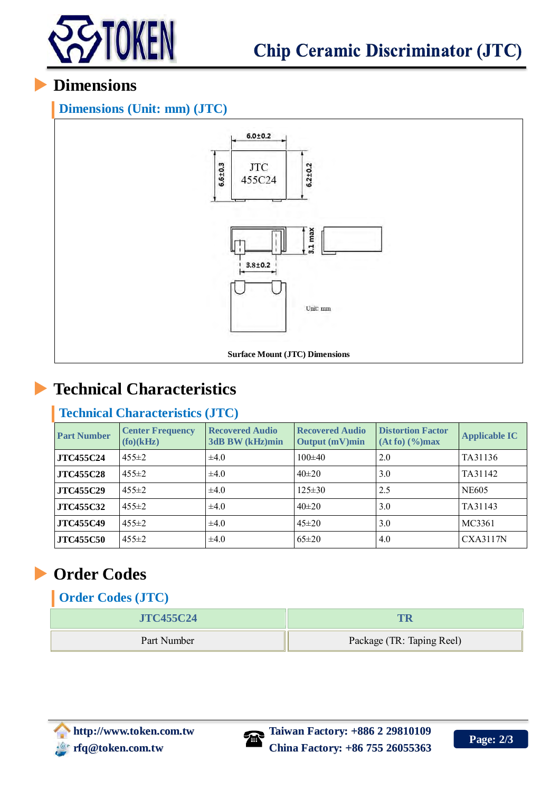

# **Dimensions**

**Dimensions (Unit: mm) (JTC)**



# **Technical Characteristics**

### **Technical Characteristics (JTC)**

| <b>Part Number</b> | <b>Center Frequency</b><br>$f_0(kHz)$ | <b>Recovered Audio</b><br>3dB BW (kHz)min | <b>Recovered Audio</b><br>Output (mV)min | <b>Distortion Factor</b><br>$(At f0)$ $%$ max | <b>Applicable IC</b> |
|--------------------|---------------------------------------|-------------------------------------------|------------------------------------------|-----------------------------------------------|----------------------|
| <b>JTC455C24</b>   | $455 \pm 2$                           | $\pm 4.0$                                 | $100\pm 40$                              | 2.0                                           | TA31136              |
| <b>JTC455C28</b>   | $455 \pm 2$                           | $\pm 4.0$                                 | $40\pm 20$                               | 3.0                                           | TA31142              |
| <b>JTC455C29</b>   | $455 \pm 2$                           | $\pm 4.0$                                 | $125 \pm 30$                             | 2.5                                           | <b>NE605</b>         |
| <b>JTC455C32</b>   | $455 \pm 2$                           | $\pm 4.0$                                 | $40\pm 20$                               | 3.0                                           | TA31143              |
| <b>JTC455C49</b>   | $455 \pm 2$                           | $\pm 4.0$                                 | $45 \pm 20$                              | 3.0                                           | MC3361               |
| <b>JTC455C50</b>   | $455 \pm 2$                           | $\pm 4.0$                                 | $65 \pm 20$                              | 4.0                                           | <b>CXA3117N</b>      |

# **Order Codes**

#### **Order Codes (JTC)**

| <b>JTC455C24</b> |                           |  |  |
|------------------|---------------------------|--|--|
| Part Number      | Package (TR: Taping Reel) |  |  |